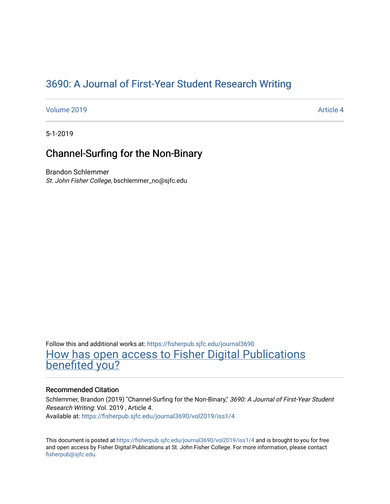# [3690: A Journal of First-Year Student Research Writing](https://fisherpub.sjfc.edu/journal3690)

[Volume 2019](https://fisherpub.sjfc.edu/journal3690/vol2019) **Article 4** Article 4

5-1-2019

# Channel-Surfing for the Non-Binary

Brandon Schlemmer St. John Fisher College, bschlemmer\_no@sjfc.edu

Follow this and additional works at: [https://fisherpub.sjfc.edu/journal3690](https://fisherpub.sjfc.edu/journal3690?utm_source=fisherpub.sjfc.edu%2Fjournal3690%2Fvol2019%2Fiss1%2F4&utm_medium=PDF&utm_campaign=PDFCoverPages)  [How has open access to Fisher Digital Publications](https://docs.google.com/forms/d/14zrnDfH9d1wcdq8oG_-gFabAsxfcH5claltx85ZWyTg/viewform?entry.1394608989=https://fisherpub.sjfc.edu/journal3690/vol2019/iss1/4%3Chttps://docs.google.com/forms/d/14zrnDfH9d1wcdq8oG_-gFabAsxfcH5claltx85ZWyTg/viewform?entry.1394608989=%7bhttps://fisherpub.sjfc.edu/journal3690/vol2019/iss1/4%7d) [benefited you?](https://docs.google.com/forms/d/14zrnDfH9d1wcdq8oG_-gFabAsxfcH5claltx85ZWyTg/viewform?entry.1394608989=https://fisherpub.sjfc.edu/journal3690/vol2019/iss1/4%3Chttps://docs.google.com/forms/d/14zrnDfH9d1wcdq8oG_-gFabAsxfcH5claltx85ZWyTg/viewform?entry.1394608989=%7bhttps://fisherpub.sjfc.edu/journal3690/vol2019/iss1/4%7d)

### Recommended Citation

Schlemmer, Brandon (2019) "Channel-Surfing for the Non-Binary," 3690: A Journal of First-Year Student Research Writing: Vol. 2019 , Article 4. Available at: [https://fisherpub.sjfc.edu/journal3690/vol2019/iss1/4](https://fisherpub.sjfc.edu/journal3690/vol2019/iss1/4?utm_source=fisherpub.sjfc.edu%2Fjournal3690%2Fvol2019%2Fiss1%2F4&utm_medium=PDF&utm_campaign=PDFCoverPages) 

This document is posted at <https://fisherpub.sjfc.edu/journal3690/vol2019/iss1/4> and is brought to you for free and open access by Fisher Digital Publications at St. John Fisher College. For more information, please contact [fisherpub@sjfc.edu](mailto:fisherpub@sjfc.edu).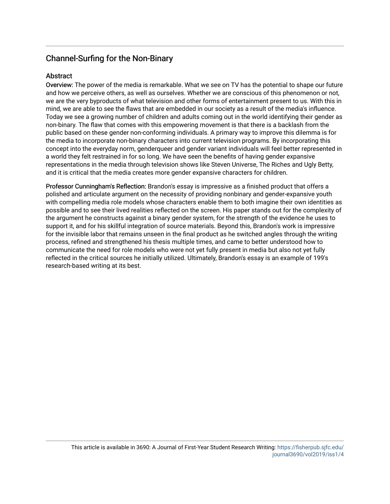## Channel-Surfing for the Non-Binary

### Abstract

Overview: The power of the media is remarkable. What we see on TV has the potential to shape our future and how we perceive others, as well as ourselves. Whether we are conscious of this phenomenon or not, we are the very byproducts of what television and other forms of entertainment present to us. With this in mind, we are able to see the flaws that are embedded in our society as a result of the media's influence. Today we see a growing number of children and adults coming out in the world identifying their gender as non-binary. The flaw that comes with this empowering movement is that there is a backlash from the public based on these gender non-conforming individuals. A primary way to improve this dilemma is for the media to incorporate non-binary characters into current television programs. By incorporating this concept into the everyday norm, genderqueer and gender variant individuals will feel better represented in a world they felt restrained in for so long. We have seen the benefits of having gender expansive representations in the media through television shows like Steven Universe, The Riches and Ugly Betty, and it is critical that the media creates more gender expansive characters for children.

Professor Cunningham's Reflection: Brandon's essay is impressive as a finished product that offers a polished and articulate argument on the necessity of providing nonbinary and gender-expansive youth with compelling media role models whose characters enable them to both imagine their own identities as possible and to see their lived realities reflected on the screen. His paper stands out for the complexity of the argument he constructs against a binary gender system, for the strength of the evidence he uses to support it, and for his skillful integration of source materials. Beyond this, Brandon's work is impressive for the invisible labor that remains unseen in the final product as he switched angles through the writing process, refined and strengthened his thesis multiple times, and came to better understood how to communicate the need for role models who were not yet fully present in media but also not yet fully reflected in the critical sources he initially utilized. Ultimately, Brandon's essay is an example of 199's research-based writing at its best.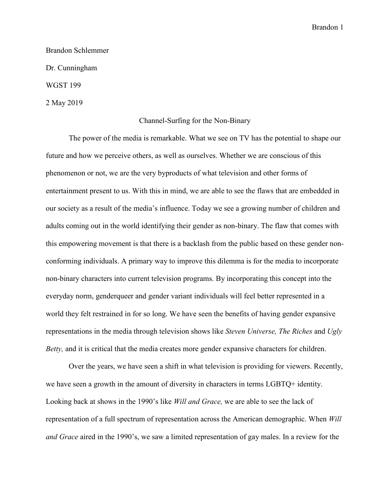Brandon Schlemmer Dr. Cunningham WGST 199

2 May 2019

#### Channel-Surfing for the Non-Binary

 The power of the media is remarkable. What we see on TV has the potential to shape our future and how we perceive others, as well as ourselves. Whether we are conscious of this phenomenon or not, we are the very byproducts of what television and other forms of entertainment present to us. With this in mind, we are able to see the flaws that are embedded in our society as a result of the media's influence. Today we see a growing number of children and adults coming out in the world identifying their gender as non-binary. The flaw that comes with this empowering movement is that there is a backlash from the public based on these gender nonconforming individuals. A primary way to improve this dilemma is for the media to incorporate non-binary characters into current television programs. By incorporating this concept into the everyday norm, genderqueer and gender variant individuals will feel better represented in a world they felt restrained in for so long. We have seen the benefits of having gender expansive representations in the media through television shows like *Steven Universe, The Riches* and *Ugly Betty,* and it is critical that the media creates more gender expansive characters for children.

Over the years, we have seen a shift in what television is providing for viewers. Recently, we have seen a growth in the amount of diversity in characters in terms LGBTQ+ identity. Looking back at shows in the 1990's like *Will and Grace,* we are able to see the lack of representation of a full spectrum of representation across the American demographic. When *Will and Grace* aired in the 1990's, we saw a limited representation of gay males. In a review for the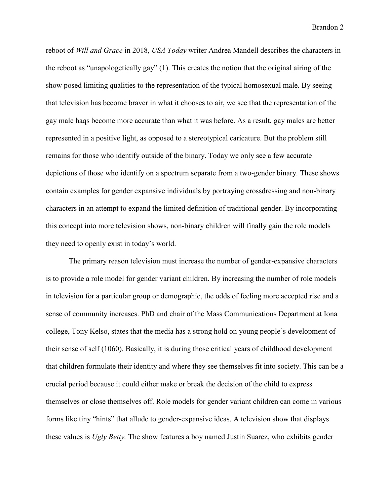reboot of *Will and Grace* in 2018, *USA Today* writer Andrea Mandell describes the characters in the reboot as "unapologetically gay" (1). This creates the notion that the original airing of the show posed limiting qualities to the representation of the typical homosexual male. By seeing that television has become braver in what it chooses to air, we see that the representation of the gay male haqs become more accurate than what it was before. As a result, gay males are better represented in a positive light, as opposed to a stereotypical caricature. But the problem still remains for those who identify outside of the binary. Today we only see a few accurate depictions of those who identify on a spectrum separate from a two-gender binary. These shows contain examples for gender expansive individuals by portraying crossdressing and non-binary characters in an attempt to expand the limited definition of traditional gender. By incorporating this concept into more television shows, non-binary children will finally gain the role models they need to openly exist in today's world.

The primary reason television must increase the number of gender-expansive characters is to provide a role model for gender variant children. By increasing the number of role models in television for a particular group or demographic, the odds of feeling more accepted rise and a sense of community increases. PhD and chair of the Mass Communications Department at Iona college, Tony Kelso, states that the media has a strong hold on young people's development of their sense of self (1060). Basically, it is during those critical years of childhood development that children formulate their identity and where they see themselves fit into society. This can be a crucial period because it could either make or break the decision of the child to express themselves or close themselves off. Role models for gender variant children can come in various forms like tiny "hints" that allude to gender-expansive ideas. A television show that displays these values is *Ugly Betty.* The show features a boy named Justin Suarez, who exhibits gender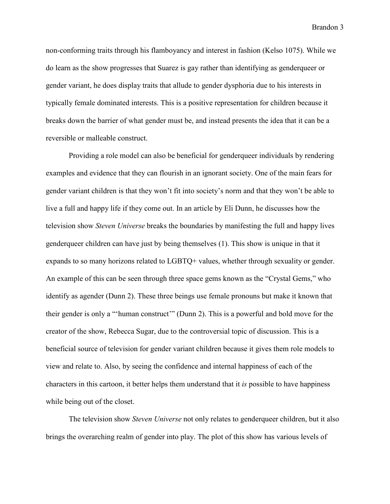non-conforming traits through his flamboyancy and interest in fashion (Kelso 1075). While we do learn as the show progresses that Suarez is gay rather than identifying as genderqueer or gender variant, he does display traits that allude to gender dysphoria due to his interests in typically female dominated interests. This is a positive representation for children because it breaks down the barrier of what gender must be, and instead presents the idea that it can be a reversible or malleable construct.

Providing a role model can also be beneficial for genderqueer individuals by rendering examples and evidence that they can flourish in an ignorant society. One of the main fears for gender variant children is that they won't fit into society's norm and that they won't be able to live a full and happy life if they come out. In an article by Eli Dunn, he discusses how the television show *Steven Universe* breaks the boundaries by manifesting the full and happy lives genderqueer children can have just by being themselves (1). This show is unique in that it expands to so many horizons related to LGBTQ+ values, whether through sexuality or gender. An example of this can be seen through three space gems known as the "Crystal Gems," who identify as agender (Dunn 2). These three beings use female pronouns but make it known that their gender is only a "'human construct'" (Dunn 2). This is a powerful and bold move for the creator of the show, Rebecca Sugar, due to the controversial topic of discussion. This is a beneficial source of television for gender variant children because it gives them role models to view and relate to. Also, by seeing the confidence and internal happiness of each of the characters in this cartoon, it better helps them understand that it *is* possible to have happiness while being out of the closet.

 The television show *Steven Universe* not only relates to genderqueer children, but it also brings the overarching realm of gender into play. The plot of this show has various levels of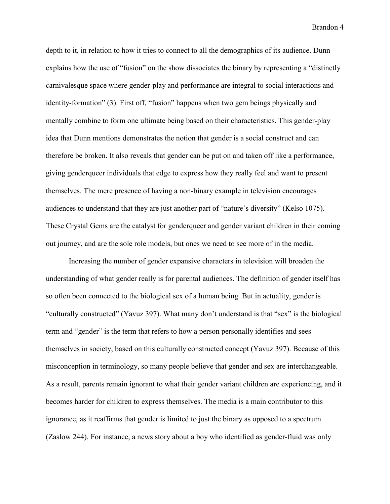depth to it, in relation to how it tries to connect to all the demographics of its audience. Dunn explains how the use of "fusion" on the show dissociates the binary by representing a "distinctly carnivalesque space where gender-play and performance are integral to social interactions and identity-formation" (3). First off, "fusion" happens when two gem beings physically and mentally combine to form one ultimate being based on their characteristics. This gender-play idea that Dunn mentions demonstrates the notion that gender is a social construct and can therefore be broken. It also reveals that gender can be put on and taken off like a performance, giving genderqueer individuals that edge to express how they really feel and want to present themselves. The mere presence of having a non-binary example in television encourages audiences to understand that they are just another part of "nature's diversity" (Kelso 1075). These Crystal Gems are the catalyst for genderqueer and gender variant children in their coming out journey, and are the sole role models, but ones we need to see more of in the media.

 Increasing the number of gender expansive characters in television will broaden the understanding of what gender really is for parental audiences. The definition of gender itself has so often been connected to the biological sex of a human being. But in actuality, gender is "culturally constructed" (Yavuz 397). What many don't understand is that "sex" is the biological term and "gender" is the term that refers to how a person personally identifies and sees themselves in society, based on this culturally constructed concept (Yavuz 397). Because of this misconception in terminology, so many people believe that gender and sex are interchangeable. As a result, parents remain ignorant to what their gender variant children are experiencing, and it becomes harder for children to express themselves. The media is a main contributor to this ignorance, as it reaffirms that gender is limited to just the binary as opposed to a spectrum (Zaslow 244). For instance, a news story about a boy who identified as gender-fluid was only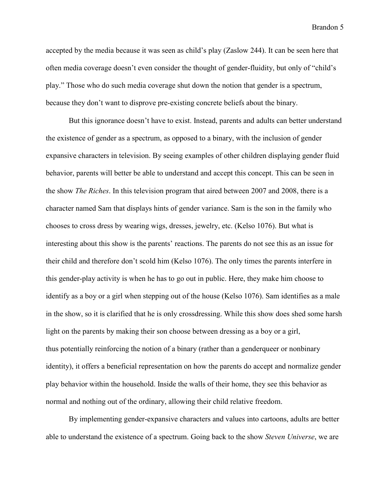accepted by the media because it was seen as child's play (Zaslow 244). It can be seen here that often media coverage doesn't even consider the thought of gender-fluidity, but only of "child's play." Those who do such media coverage shut down the notion that gender is a spectrum, because they don't want to disprove pre-existing concrete beliefs about the binary.

 But this ignorance doesn't have to exist. Instead, parents and adults can better understand the existence of gender as a spectrum, as opposed to a binary, with the inclusion of gender expansive characters in television. By seeing examples of other children displaying gender fluid behavior, parents will better be able to understand and accept this concept. This can be seen in the show *The Riches*. In this television program that aired between 2007 and 2008, there is a character named Sam that displays hints of gender variance. Sam is the son in the family who chooses to cross dress by wearing wigs, dresses, jewelry, etc. (Kelso 1076). But what is interesting about this show is the parents' reactions. The parents do not see this as an issue for their child and therefore don't scold him (Kelso 1076). The only times the parents interfere in this gender-play activity is when he has to go out in public. Here, they make him choose to identify as a boy or a girl when stepping out of the house (Kelso 1076). Sam identifies as a male in the show, so it is clarified that he is only crossdressing. While this show does shed some harsh light on the parents by making their son choose between dressing as a boy or a girl, thus potentially reinforcing the notion of a binary (rather than a genderqueer or nonbinary identity), it offers a beneficial representation on how the parents do accept and normalize gender play behavior within the household. Inside the walls of their home, they see this behavior as normal and nothing out of the ordinary, allowing their child relative freedom.

 By implementing gender-expansive characters and values into cartoons, adults are better able to understand the existence of a spectrum. Going back to the show *Steven Universe*, we are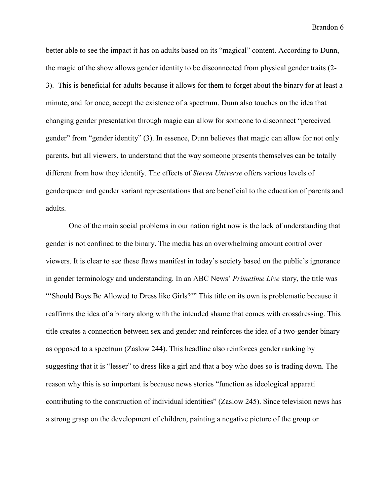better able to see the impact it has on adults based on its "magical" content. According to Dunn, the magic of the show allows gender identity to be disconnected from physical gender traits (2- 3). This is beneficial for adults because it allows for them to forget about the binary for at least a minute, and for once, accept the existence of a spectrum. Dunn also touches on the idea that changing gender presentation through magic can allow for someone to disconnect "perceived gender" from "gender identity" (3). In essence, Dunn believes that magic can allow for not only parents, but all viewers, to understand that the way someone presents themselves can be totally different from how they identify. The effects of *Steven Universe* offers various levels of genderqueer and gender variant representations that are beneficial to the education of parents and adults.

 One of the main social problems in our nation right now is the lack of understanding that gender is not confined to the binary. The media has an overwhelming amount control over viewers. It is clear to see these flaws manifest in today's society based on the public's ignorance in gender terminology and understanding. In an ABC News' *Primetime Live* story, the title was "'Should Boys Be Allowed to Dress like Girls?'" This title on its own is problematic because it reaffirms the idea of a binary along with the intended shame that comes with crossdressing. This title creates a connection between sex and gender and reinforces the idea of a two-gender binary as opposed to a spectrum (Zaslow 244). This headline also reinforces gender ranking by suggesting that it is "lesser" to dress like a girl and that a boy who does so is trading down. The reason why this is so important is because news stories "function as ideological apparati contributing to the construction of individual identities" (Zaslow 245). Since television news has a strong grasp on the development of children, painting a negative picture of the group or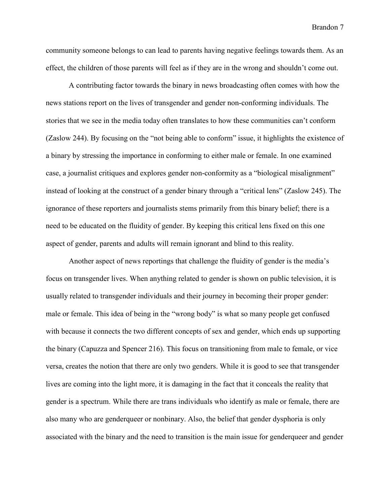community someone belongs to can lead to parents having negative feelings towards them. As an effect, the children of those parents will feel as if they are in the wrong and shouldn't come out.

 A contributing factor towards the binary in news broadcasting often comes with how the news stations report on the lives of transgender and gender non-conforming individuals. The stories that we see in the media today often translates to how these communities can't conform (Zaslow 244). By focusing on the "not being able to conform" issue, it highlights the existence of a binary by stressing the importance in conforming to either male or female. In one examined case, a journalist critiques and explores gender non-conformity as a "biological misalignment" instead of looking at the construct of a gender binary through a "critical lens" (Zaslow 245). The ignorance of these reporters and journalists stems primarily from this binary belief; there is a need to be educated on the fluidity of gender. By keeping this critical lens fixed on this one aspect of gender, parents and adults will remain ignorant and blind to this reality.

 Another aspect of news reportings that challenge the fluidity of gender is the media's focus on transgender lives. When anything related to gender is shown on public television, it is usually related to transgender individuals and their journey in becoming their proper gender: male or female. This idea of being in the "wrong body" is what so many people get confused with because it connects the two different concepts of sex and gender, which ends up supporting the binary (Capuzza and Spencer 216). This focus on transitioning from male to female, or vice versa, creates the notion that there are only two genders. While it is good to see that transgender lives are coming into the light more, it is damaging in the fact that it conceals the reality that gender is a spectrum. While there are trans individuals who identify as male or female, there are also many who are genderqueer or nonbinary. Also, the belief that gender dysphoria is only associated with the binary and the need to transition is the main issue for genderqueer and gender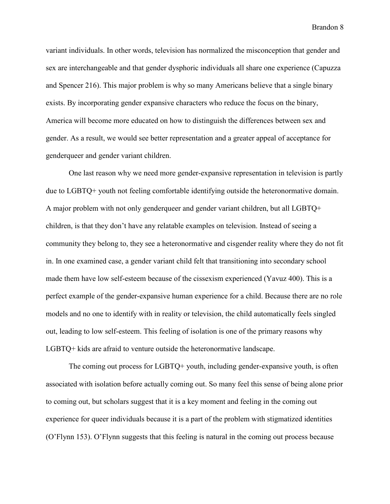variant individuals. In other words, television has normalized the misconception that gender and sex are interchangeable and that gender dysphoric individuals all share one experience (Capuzza and Spencer 216). This major problem is why so many Americans believe that a single binary exists. By incorporating gender expansive characters who reduce the focus on the binary, America will become more educated on how to distinguish the differences between sex and gender. As a result, we would see better representation and a greater appeal of acceptance for genderqueer and gender variant children.

 One last reason why we need more gender-expansive representation in television is partly due to LGBTQ+ youth not feeling comfortable identifying outside the heteronormative domain. A major problem with not only genderqueer and gender variant children, but all LGBTQ+ children, is that they don't have any relatable examples on television. Instead of seeing a community they belong to, they see a heteronormative and cisgender reality where they do not fit in. In one examined case, a gender variant child felt that transitioning into secondary school made them have low self-esteem because of the cissexism experienced (Yavuz 400). This is a perfect example of the gender-expansive human experience for a child. Because there are no role models and no one to identify with in reality or television, the child automatically feels singled out, leading to low self-esteem. This feeling of isolation is one of the primary reasons why LGBTQ+ kids are afraid to venture outside the heteronormative landscape.

 The coming out process for LGBTQ+ youth, including gender-expansive youth, is often associated with isolation before actually coming out. So many feel this sense of being alone prior to coming out, but scholars suggest that it is a key moment and feeling in the coming out experience for queer individuals because it is a part of the problem with stigmatized identities (O'Flynn 153). O'Flynn suggests that this feeling is natural in the coming out process because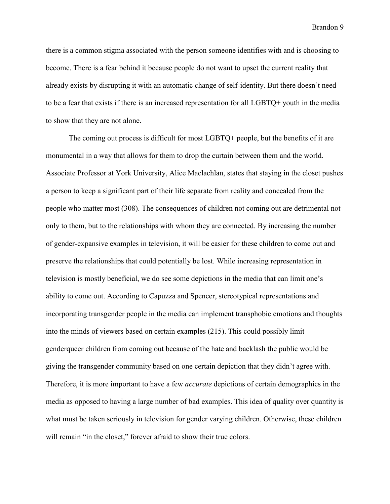there is a common stigma associated with the person someone identifies with and is choosing to become. There is a fear behind it because people do not want to upset the current reality that already exists by disrupting it with an automatic change of self-identity. But there doesn't need to be a fear that exists if there is an increased representation for all LGBTQ+ youth in the media to show that they are not alone.

 The coming out process is difficult for most LGBTQ+ people, but the benefits of it are monumental in a way that allows for them to drop the curtain between them and the world. Associate Professor at York University, Alice Maclachlan, states that staying in the closet pushes a person to keep a significant part of their life separate from reality and concealed from the people who matter most (308). The consequences of children not coming out are detrimental not only to them, but to the relationships with whom they are connected. By increasing the number of gender-expansive examples in television, it will be easier for these children to come out and preserve the relationships that could potentially be lost. While increasing representation in television is mostly beneficial, we do see some depictions in the media that can limit one's ability to come out. According to Capuzza and Spencer, stereotypical representations and incorporating transgender people in the media can implement transphobic emotions and thoughts into the minds of viewers based on certain examples (215). This could possibly limit genderqueer children from coming out because of the hate and backlash the public would be giving the transgender community based on one certain depiction that they didn't agree with. Therefore, it is more important to have a few *accurate* depictions of certain demographics in the media as opposed to having a large number of bad examples. This idea of quality over quantity is what must be taken seriously in television for gender varying children. Otherwise, these children will remain "in the closet," forever afraid to show their true colors.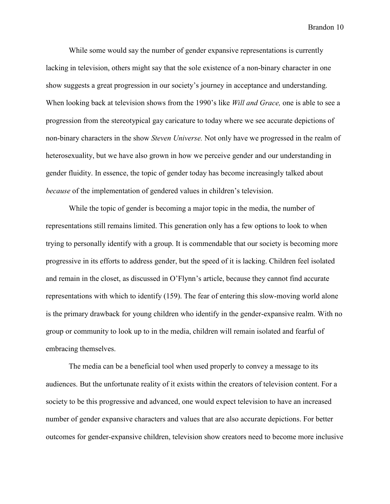While some would say the number of gender expansive representations is currently lacking in television, others might say that the sole existence of a non-binary character in one show suggests a great progression in our society's journey in acceptance and understanding. When looking back at television shows from the 1990's like *Will and Grace,* one is able to see a progression from the stereotypical gay caricature to today where we see accurate depictions of non-binary characters in the show *Steven Universe.* Not only have we progressed in the realm of heterosexuality, but we have also grown in how we perceive gender and our understanding in gender fluidity. In essence, the topic of gender today has become increasingly talked about *because* of the implementation of gendered values in children's television.

 While the topic of gender is becoming a major topic in the media, the number of representations still remains limited. This generation only has a few options to look to when trying to personally identify with a group. It is commendable that our society is becoming more progressive in its efforts to address gender, but the speed of it is lacking. Children feel isolated and remain in the closet, as discussed in O'Flynn's article, because they cannot find accurate representations with which to identify (159). The fear of entering this slow-moving world alone is the primary drawback for young children who identify in the gender-expansive realm. With no group or community to look up to in the media, children will remain isolated and fearful of embracing themselves.

 The media can be a beneficial tool when used properly to convey a message to its audiences. But the unfortunate reality of it exists within the creators of television content. For a society to be this progressive and advanced, one would expect television to have an increased number of gender expansive characters and values that are also accurate depictions. For better outcomes for gender-expansive children, television show creators need to become more inclusive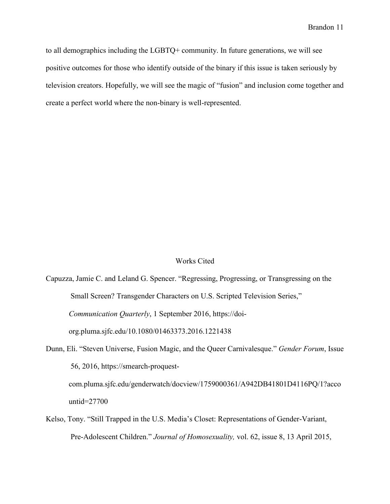to all demographics including the LGBTQ+ community. In future generations, we will see positive outcomes for those who identify outside of the binary if this issue is taken seriously by television creators. Hopefully, we will see the magic of "fusion" and inclusion come together and create a perfect world where the non-binary is well-represented.

#### Works Cited

Capuzza, Jamie C. and Leland G. Spencer. "Regressing, Progressing, or Transgressing on the Small Screen? Transgender Characters on U.S. Scripted Television Series," *Communication Quarterly*, 1 September 2016, [https://doi](https://doi-org.pluma.sjfc.edu/10.1080/01463373.2016.1221438)[org.pluma.sjfc.edu/10.1080/01463373.2016.1221438](https://doi-org.pluma.sjfc.edu/10.1080/01463373.2016.1221438) 

Dunn, Eli. "Steven Universe, Fusion Magic, and the Queer Carnivalesque." *Gender Forum*, Issue 56, 2016, [https://smearch-proquest](https://search-proquest-com.pluma.sjfc.edu/genderwatch/docview/1759000361/A942DB41801D4116PQ/1?accountid=27700)[com.pluma.sjfc.edu/genderwatch/docview/1759000361/A942DB41801D4116PQ/1?acco](https://search-proquest-com.pluma.sjfc.edu/genderwatch/docview/1759000361/A942DB41801D4116PQ/1?accountid=27700) [untid=27700](https://search-proquest-com.pluma.sjfc.edu/genderwatch/docview/1759000361/A942DB41801D4116PQ/1?accountid=27700)

Kelso, Tony. "Still Trapped in the U.S. Media's Closet: Representations of Gender-Variant, Pre-Adolescent Children." *Journal of Homosexuality,* vol. 62, issue 8, 13 April 2015,